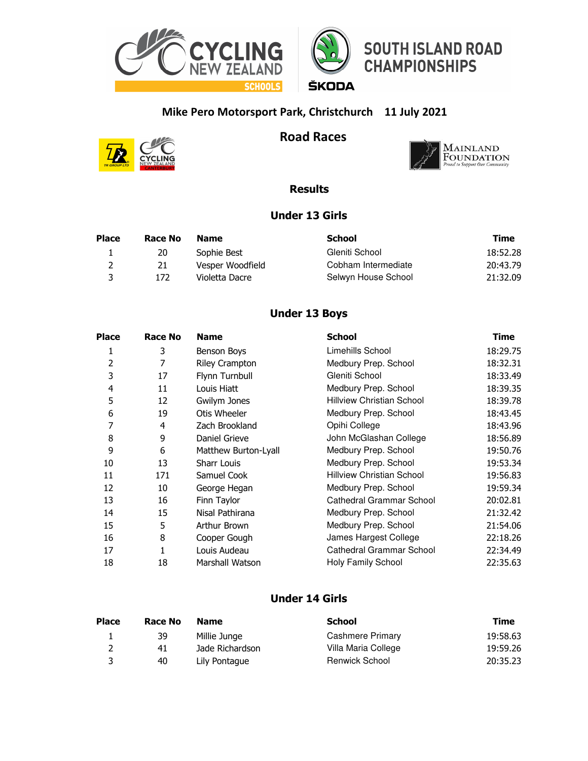

## **Mike Pero Motorsport Park, Christchurch 11 July 2021**



**Road Races**



### **Results**

#### **Under 13 Girls**

| <b>Place</b> | Race No | <b>Name</b>      | School              | Time     |
|--------------|---------|------------------|---------------------|----------|
|              | 20      | Sophie Best      | Gleniti School      | 18:52.28 |
| 2            | 21      | Vesper Woodfield | Cobham Intermediate | 20:43.79 |
| -3           | 172.    | Violetta Dacre   | Selwyn House School | 21:32.09 |

### **Under 13 Boys**

| <b>Place</b> | <b>Race No</b> | <b>Name</b>          | <b>School</b>                    | Time     |
|--------------|----------------|----------------------|----------------------------------|----------|
| 1            | 3              | Benson Boys          | Limehills School                 | 18:29.75 |
| 2            | 7              | Riley Crampton       | Medbury Prep. School             | 18:32.31 |
| 3            | 17             | Flynn Turnbull       | Gleniti School                   | 18:33.49 |
| 4            | 11             | Louis Hiatt          | Medbury Prep. School             | 18:39.35 |
| 5            | 12             | Gwilym Jones         | <b>Hillview Christian School</b> | 18:39.78 |
| 6            | 19             | Otis Wheeler         | Medbury Prep. School             | 18:43.45 |
| 7            | 4              | Zach Brookland       | Opihi College                    | 18:43.96 |
| 8            | 9              | Daniel Grieve        | John McGlashan College           | 18:56.89 |
| 9            | 6              | Matthew Burton-Lyall | Medbury Prep. School             | 19:50.76 |
| 10           | 13             | <b>Sharr Louis</b>   | Medbury Prep. School             | 19:53.34 |
| 11           | 171            | Samuel Cook          | <b>Hillview Christian School</b> | 19:56.83 |
| 12           | 10             | George Hegan         | Medbury Prep. School             | 19:59.34 |
| 13           | 16             | Finn Taylor          | Cathedral Grammar School         | 20:02.81 |
| 14           | 15             | Nisal Pathirana      | Medbury Prep. School             | 21:32.42 |
| 15           | 5              | Arthur Brown         | Medbury Prep. School             | 21:54.06 |
| 16           | 8              | Cooper Gough         | James Hargest College            | 22:18.26 |
| 17           | 1              | Louis Audeau         | <b>Cathedral Grammar School</b>  | 22:34.49 |
| 18           | 18             | Marshall Watson      | <b>Holy Family School</b>        | 22:35.63 |

### **Under 14 Girls**

| <b>Place</b> | Race No | <b>Name</b>     | School              | Time     |
|--------------|---------|-----------------|---------------------|----------|
|              | 39      | Millie Junge    | Cashmere Primary    | 19:58.63 |
|              | 41      | Jade Richardson | Villa Maria College | 19:59.26 |
|              | 40      | Lily Pontague   | Renwick School      | 20:35.23 |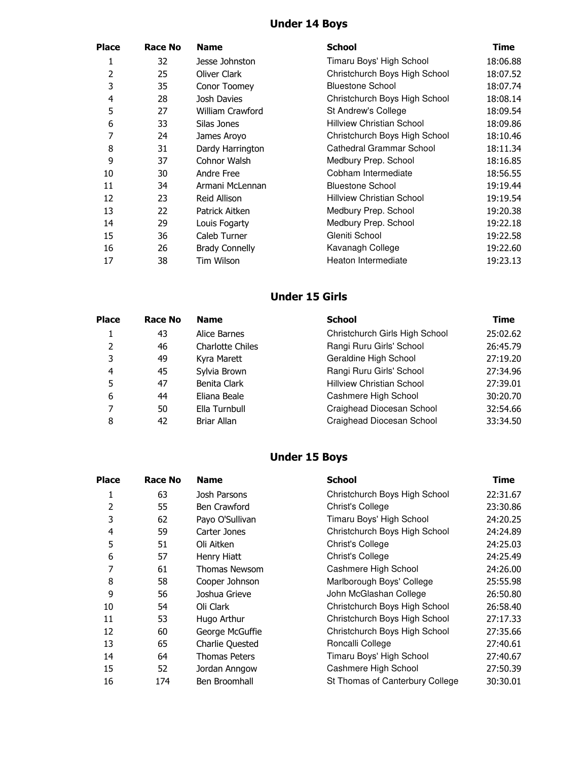## **Under 14 Boys**

| Place | Race No | <b>Name</b>           | <b>School</b>                    | Time     |
|-------|---------|-----------------------|----------------------------------|----------|
| 1     | 32      | Jesse Johnston        | Timaru Boys' High School         | 18:06.88 |
| 2     | 25      | Oliver Clark          | Christchurch Boys High School    | 18:07.52 |
| 3     | 35      | Conor Toomey          | <b>Bluestone School</b>          | 18:07.74 |
| 4     | 28      | Josh Davies           | Christchurch Boys High School    | 18:08.14 |
| 5     | 27      | William Crawford      | St Andrew's College              | 18:09.54 |
| 6     | 33      | Silas Jones           | <b>Hillview Christian School</b> | 18:09.86 |
| 7     | 24      | James Aroyo           | Christchurch Boys High School    | 18:10.46 |
| 8     | 31      | Dardy Harrington      | Cathedral Grammar School         | 18:11.34 |
| 9     | 37      | Cohnor Walsh          | Medbury Prep. School             | 18:16.85 |
| 10    | 30      | Andre Free            | Cobham Intermediate              | 18:56.55 |
| 11    | 34      | Armani McLennan       | <b>Bluestone School</b>          | 19:19.44 |
| 12    | 23      | <b>Reid Allison</b>   | <b>Hillview Christian School</b> | 19:19.54 |
| 13    | 22      | Patrick Aitken        | Medbury Prep. School             | 19:20.38 |
| 14    | 29      | Louis Fogarty         | Medbury Prep. School             | 19:22.18 |
| 15    | 36      | Caleb Turner          | Gleniti School                   | 19:22.58 |
| 16    | 26      | <b>Brady Connelly</b> | Kavanagh College                 | 19:22.60 |
| 17    | 38      | Tim Wilson            | Heaton Intermediate              | 19:23.13 |
|       |         |                       |                                  |          |

# **Under 15 Girls**

| <b>Place</b>   | Race No | <b>Name</b>             | <b>School</b>                    | Time     |
|----------------|---------|-------------------------|----------------------------------|----------|
| 1.             | 43      | Alice Barnes            | Christchurch Girls High School   | 25:02.62 |
| 2              | 46      | <b>Charlotte Chiles</b> | Rangi Ruru Girls' School         | 26:45.79 |
| 3              | 49      | Kyra Marett             | Geraldine High School            | 27:19.20 |
| $\overline{a}$ | 45      | Sylvia Brown            | Rangi Ruru Girls' School         | 27:34.96 |
| 5              | 47      | Benita Clark            | <b>Hillview Christian School</b> | 27:39.01 |
| 6              | 44      | Eliana Beale            | Cashmere High School             | 30:20.70 |
| 7              | 50      | Ella Turnbull           | Craighead Diocesan School        | 32:54.66 |
| 8              | 42      | Briar Allan             | Craighead Diocesan School        | 33:34.50 |

# **Under 15 Boys**

| <b>Place</b> | Race No | <b>Name</b>            | <b>School</b>                   | Time     |
|--------------|---------|------------------------|---------------------------------|----------|
| 1            | 63      | Josh Parsons           | Christchurch Boys High School   | 22:31.67 |
| 2            | 55      | Ben Crawford           | Christ's College                | 23:30.86 |
| 3            | 62      | Payo O'Sullivan        | Timaru Boys' High School        | 24:20.25 |
| 4            | 59      | Carter Jones           | Christchurch Boys High School   | 24:24.89 |
| 5            | 51      | Oli Aitken             | <b>Christ's College</b>         | 24:25.03 |
| 6            | 57      | Henry Hiatt            | Christ's College                | 24:25.49 |
| 7            | 61      | <b>Thomas Newsom</b>   | Cashmere High School            | 24:26.00 |
| 8            | 58      | Cooper Johnson         | Marlborough Boys' College       | 25:55.98 |
| 9            | 56      | Joshua Grieve          | John McGlashan College          | 26:50.80 |
| 10           | 54      | Oli Clark              | Christchurch Boys High School   | 26:58.40 |
| 11           | 53      | Hugo Arthur            | Christchurch Boys High School   | 27:17.33 |
| 12           | 60      | George McGuffie        | Christchurch Boys High School   | 27:35.66 |
| 13           | 65      | <b>Charlie Quested</b> | Roncalli College                | 27:40.61 |
| 14           | 64      | <b>Thomas Peters</b>   | Timaru Boys' High School        | 27:40.67 |
| 15           | 52      | Jordan Anngow          | Cashmere High School            | 27:50.39 |
| 16           | 174     | Ben Broomhall          | St Thomas of Canterbury College | 30:30.01 |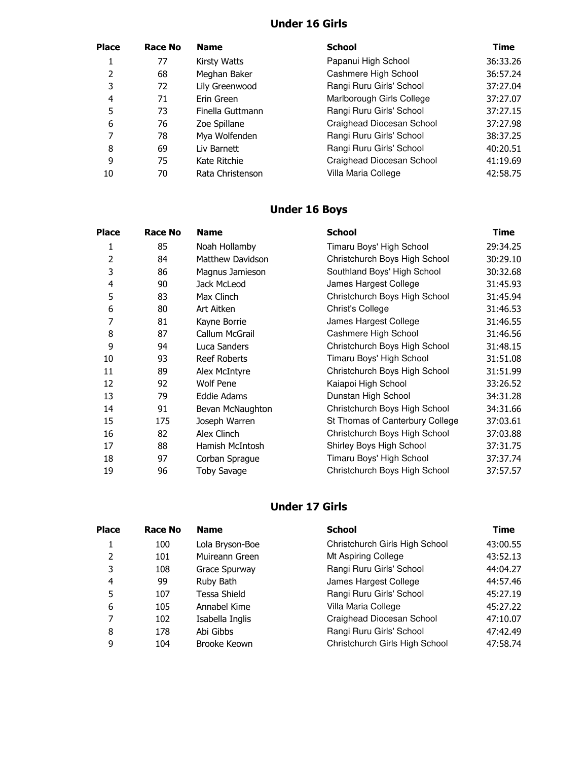## **Under 16 Girls**

| <b>Place</b> | Race No | <b>Name</b>      | <b>School</b>             | Time     |
|--------------|---------|------------------|---------------------------|----------|
|              | 77      | Kirsty Watts     | Papanui High School       | 36:33.26 |
| 2            | 68      | Meghan Baker     | Cashmere High School      | 36:57.24 |
| 3            | 72      | Lily Greenwood   | Rangi Ruru Girls' School  | 37:27.04 |
| 4            | 71      | Erin Green       | Marlborough Girls College | 37:27.07 |
| 5            | 73      | Finella Guttmann | Rangi Ruru Girls' School  | 37:27.15 |
| 6            | 76      | Zoe Spillane     | Craighead Diocesan School | 37:27.98 |
| 7            | 78      | Mya Wolfenden    | Rangi Ruru Girls' School  | 38:37.25 |
| 8            | 69      | Liv Barnett      | Rangi Ruru Girls' School  | 40:20.51 |
| 9            | 75      | Kate Ritchie     | Craighead Diocesan School | 41:19.69 |
| 10           | 70      | Rata Christenson | Villa Maria College       | 42:58.75 |

## **Under 16 Boys**

| <b>Place</b> | Race No | <b>Name</b>        | <b>School</b>                   | Time     |
|--------------|---------|--------------------|---------------------------------|----------|
| 1            | 85      | Noah Hollamby      | Timaru Boys' High School        | 29:34.25 |
| 2            | 84      | Matthew Davidson   | Christchurch Boys High School   | 30:29.10 |
| 3            | 86      | Magnus Jamieson    | Southland Boys' High School     | 30:32.68 |
| 4            | 90      | Jack McLeod        | James Hargest College           | 31:45.93 |
| 5            | 83      | Max Clinch         | Christchurch Boys High School   | 31:45.94 |
| 6            | 80      | Art Aitken         | Christ's College                | 31:46.53 |
| 7            | 81      | Kayne Borrie       | James Hargest College           | 31:46.55 |
| 8            | 87      | Callum McGrail     | Cashmere High School            | 31:46.56 |
| 9            | 94      | Luca Sanders       | Christchurch Boys High School   | 31:48.15 |
| 10           | 93      | Reef Roberts       | Timaru Boys' High School        | 31:51.08 |
| 11           | 89      | Alex McIntyre      | Christchurch Boys High School   | 31:51.99 |
| 12           | 92      | <b>Wolf Pene</b>   | Kaiapoi High School             | 33:26.52 |
| 13           | 79      | Eddie Adams        | Dunstan High School             | 34:31.28 |
| 14           | 91      | Bevan McNaughton   | Christchurch Boys High School   | 34:31.66 |
| 15           | 175     | Joseph Warren      | St Thomas of Canterbury College | 37:03.61 |
| 16           | 82      | Alex Clinch        | Christchurch Boys High School   | 37:03.88 |
| 17           | 88      | Hamish McIntosh    | Shirley Boys High School        | 37:31.75 |
| 18           | 97      | Corban Sprague     | Timaru Boys' High School        | 37:37.74 |
| 19           | 96      | <b>Toby Savage</b> | Christchurch Boys High School   | 37:57.57 |

## **Under 17 Girls**

| <b>Place</b> | <b>Race No</b> | <b>Name</b>     | <b>School</b>                  | Time     |
|--------------|----------------|-----------------|--------------------------------|----------|
|              | 100            | Lola Bryson-Boe | Christchurch Girls High School | 43:00.55 |
| 2            | 101            | Muireann Green  | Mt Aspiring College            | 43:52.13 |
| 3            | 108            | Grace Spurway   | Rangi Ruru Girls' School       | 44:04.27 |
| 4            | 99             | Ruby Bath       | James Hargest College          | 44:57.46 |
| 5            | 107            | Tessa Shield    | Rangi Ruru Girls' School       | 45:27.19 |
| 6            | 105            | Annabel Kime    | Villa Maria College            | 45:27.22 |
| 7            | 102            | Isabella Inglis | Craighead Diocesan School      | 47:10.07 |
| 8            | 178            | Abi Gibbs       | Rangi Ruru Girls' School       | 47:42.49 |
| 9            | 104            | Brooke Keown    | Christchurch Girls High School | 47:58.74 |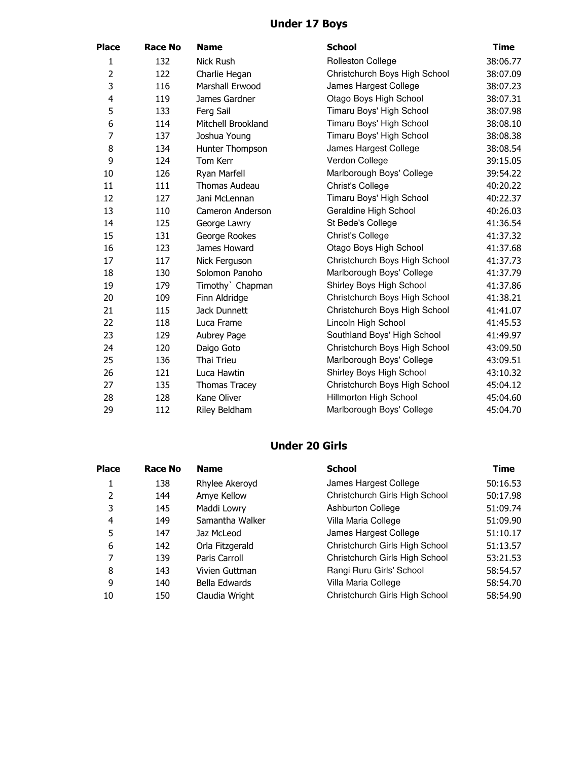## **Under 17 Boys**

| <b>Place</b>   | <b>Race No</b> | <b>Name</b>          | <b>School</b>                 | <b>Time</b> |
|----------------|----------------|----------------------|-------------------------------|-------------|
| 1              | 132            | <b>Nick Rush</b>     | Rolleston College             | 38:06.77    |
| $\overline{2}$ | 122            | Charlie Hegan        | Christchurch Boys High School | 38:07.09    |
| 3              | 116            | Marshall Erwood      | James Hargest College         | 38:07.23    |
| 4              | 119            | James Gardner        | Otago Boys High School        | 38:07.31    |
| 5              | 133            | Ferg Sail            | Timaru Boys' High School      | 38:07.98    |
| 6              | 114            | Mitchell Brookland   | Timaru Boys' High School      | 38:08.10    |
| $\overline{7}$ | 137            | Joshua Young         | Timaru Boys' High School      | 38:08.38    |
| 8              | 134            | Hunter Thompson      | James Hargest College         | 38:08.54    |
| 9              | 124            | Tom Kerr             | Verdon College                | 39:15.05    |
| 10             | 126            | Ryan Marfell         | Marlborough Boys' College     | 39:54.22    |
| 11             | 111            | <b>Thomas Audeau</b> | <b>Christ's College</b>       | 40:20.22    |
| 12             | 127            | Jani McLennan        | Timaru Boys' High School      | 40:22.37    |
| 13             | 110            | Cameron Anderson     | Geraldine High School         | 40:26.03    |
| 14             | 125            | George Lawry         | St Bede's College             | 41:36.54    |
| 15             | 131            | George Rookes        | <b>Christ's College</b>       | 41:37.32    |
| 16             | 123            | James Howard         | Otago Boys High School        | 41:37.68    |
| 17             | 117            | Nick Ferguson        | Christchurch Boys High School | 41:37.73    |
| 18             | 130            | Solomon Panoho       | Marlborough Boys' College     | 41:37.79    |
| 19             | 179            | Timothy Chapman      | Shirley Boys High School      | 41:37.86    |
| 20             | 109            | Finn Aldridge        | Christchurch Boys High School | 41:38.21    |
| 21             | 115            | Jack Dunnett         | Christchurch Boys High School | 41:41.07    |
| 22             | 118            | Luca Frame           | Lincoln High School           | 41:45.53    |
| 23             | 129            | Aubrey Page          | Southland Boys' High School   | 41:49.97    |
| 24             | 120            | Daigo Goto           | Christchurch Boys High School | 43:09.50    |
| 25             | 136            | Thai Trieu           | Marlborough Boys' College     | 43:09.51    |
| 26             | 121            | Luca Hawtin          | Shirley Boys High School      | 43:10.32    |
| 27             | 135            | <b>Thomas Tracey</b> | Christchurch Boys High School | 45:04.12    |
| 28             | 128            | Kane Oliver          | Hillmorton High School        | 45:04.60    |
| 29             | 112            | Riley Beldham        | Marlborough Boys' College     | 45:04.70    |

## **Under 20 Girls**

| <b>Place</b>   | Race No | <b>Name</b>     | <b>School</b>                  | Time     |
|----------------|---------|-----------------|--------------------------------|----------|
|                | 138     | Rhylee Akeroyd  | James Hargest College          | 50:16.53 |
| 2              | 144     | Amye Kellow     | Christchurch Girls High School | 50:17.98 |
| 3              | 145     | Maddi Lowry     | Ashburton College              | 51:09.74 |
| $\overline{a}$ | 149     | Samantha Walker | Villa Maria College            | 51:09.90 |
| 5              | 147     | Jaz McLeod      | James Hargest College          | 51:10.17 |
| 6              | 142     | Orla Fitzgerald | Christchurch Girls High School | 51:13.57 |
| 7              | 139     | Paris Carroll   | Christchurch Girls High School | 53:21.53 |
| 8              | 143     | Vivien Guttman  | Rangi Ruru Girls' School       | 58:54.57 |
| 9              | 140     | Bella Edwards   | Villa Maria College            | 58:54.70 |
| 10             | 150     | Claudia Wright  | Christchurch Girls High School | 58:54.90 |